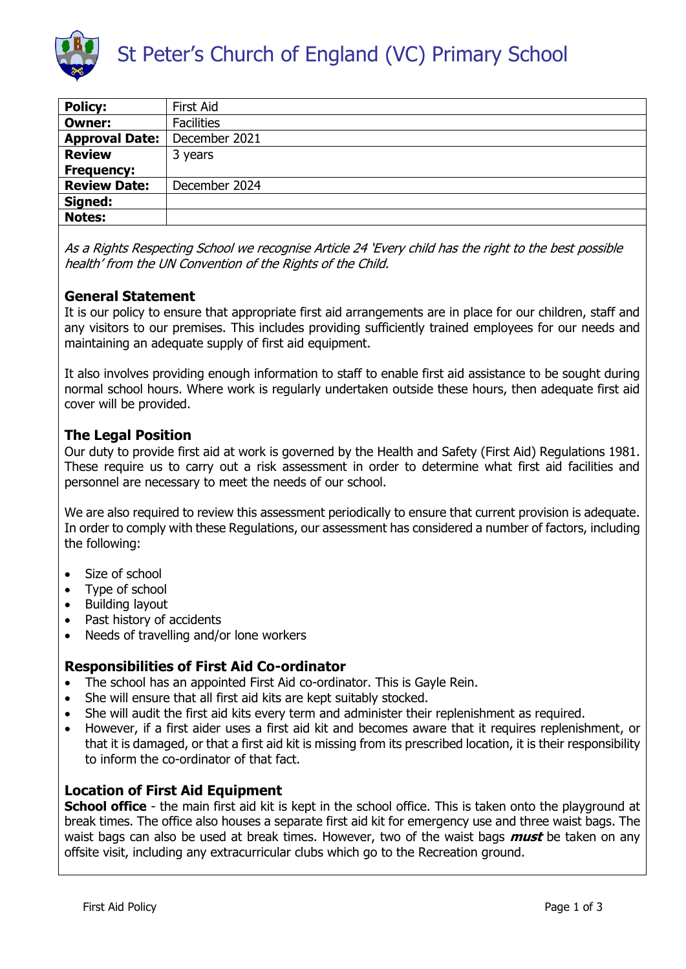

| <b>Policy:</b>        | <b>First Aid</b>  |
|-----------------------|-------------------|
| <b>Owner:</b>         | <b>Facilities</b> |
| <b>Approval Date:</b> | December 2021     |
| <b>Review</b>         | 3 years           |
| <b>Frequency:</b>     |                   |
| <b>Review Date:</b>   | December 2024     |
| Signed:               |                   |
| <b>Notes:</b>         |                   |

As a Rights Respecting School we recognise Article 24 'Every child has the right to the best possible health' from the UN Convention of the Rights of the Child.

# **General Statement**

It is our policy to ensure that appropriate first aid arrangements are in place for our children, staff and any visitors to our premises. This includes providing sufficiently trained employees for our needs and maintaining an adequate supply of first aid equipment.

It also involves providing enough information to staff to enable first aid assistance to be sought during normal school hours. Where work is regularly undertaken outside these hours, then adequate first aid cover will be provided.

# **The Legal Position**

Our duty to provide first aid at work is governed by the Health and Safety (First Aid) Regulations 1981. These require us to carry out a risk assessment in order to determine what first aid facilities and personnel are necessary to meet the needs of our school.

We are also required to review this assessment periodically to ensure that current provision is adequate. In order to comply with these Regulations, our assessment has considered a number of factors, including the following:

- Size of school
- Type of school
- Building layout
- Past history of accidents
- Needs of travelling and/or lone workers

### **Responsibilities of First Aid Co-ordinator**

- The school has an appointed First Aid co-ordinator. This is Gayle Rein.
- She will ensure that all first aid kits are kept suitably stocked.
- She will audit the first aid kits every term and administer their replenishment as required.
- However, if a first aider uses a first aid kit and becomes aware that it requires replenishment, or that it is damaged, or that a first aid kit is missing from its prescribed location, it is their responsibility to inform the co-ordinator of that fact.

### **Location of First Aid Equipment**

**School office** - the main first aid kit is kept in the school office. This is taken onto the playground at break times. The office also houses a separate first aid kit for emergency use and three waist bags. The waist bags can also be used at break times. However, two of the waist bags **must** be taken on any offsite visit, including any extracurricular clubs which go to the Recreation ground.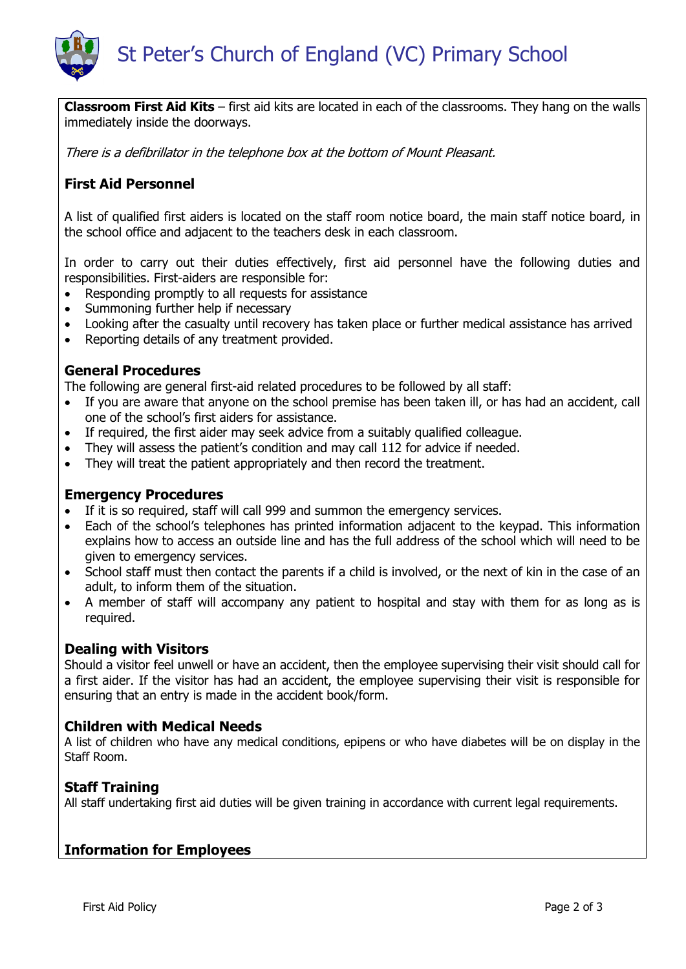

**Classroom First Aid Kits** – first aid kits are located in each of the classrooms. They hang on the walls immediately inside the doorways.

There is a defibrillator in the telephone box at the bottom of Mount Pleasant.

# **First Aid Personnel**

A list of qualified first aiders is located on the staff room notice board, the main staff notice board, in the school office and adjacent to the teachers desk in each classroom.

In order to carry out their duties effectively, first aid personnel have the following duties and responsibilities. First-aiders are responsible for:

- Responding promptly to all requests for assistance
- Summoning further help if necessary
- Looking after the casualty until recovery has taken place or further medical assistance has arrived
- Reporting details of any treatment provided.

### **General Procedures**

The following are general first-aid related procedures to be followed by all staff:

- If you are aware that anyone on the school premise has been taken ill, or has had an accident, call one of the school's first aiders for assistance.
- If required, the first aider may seek advice from a suitably qualified colleague.
- They will assess the patient's condition and may call 112 for advice if needed.
- They will treat the patient appropriately and then record the treatment.

### **Emergency Procedures**

- If it is so required, staff will call 999 and summon the emergency services.
- Each of the school's telephones has printed information adjacent to the keypad. This information explains how to access an outside line and has the full address of the school which will need to be given to emergency services.
- School staff must then contact the parents if a child is involved, or the next of kin in the case of an adult, to inform them of the situation.
- A member of staff will accompany any patient to hospital and stay with them for as long as is required.

### **Dealing with Visitors**

Should a visitor feel unwell or have an accident, then the employee supervising their visit should call for a first aider. If the visitor has had an accident, the employee supervising their visit is responsible for ensuring that an entry is made in the accident book/form.

#### **Children with Medical Needs**

A list of children who have any medical conditions, epipens or who have diabetes will be on display in the Staff Room.

### **Staff Training**

All staff undertaking first aid duties will be given training in accordance with current legal requirements.

### **Information for Employees**